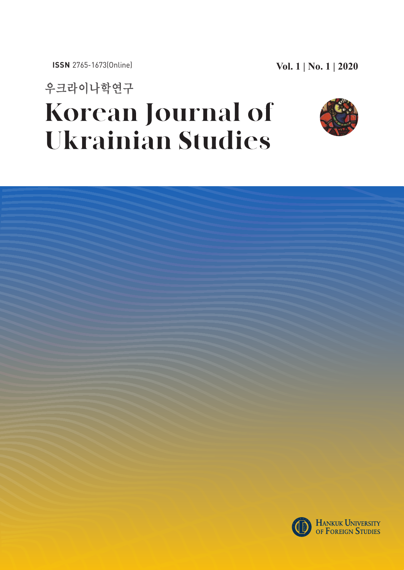우크라이나학연구 **Korean Journal of Ukrainian Studies** 



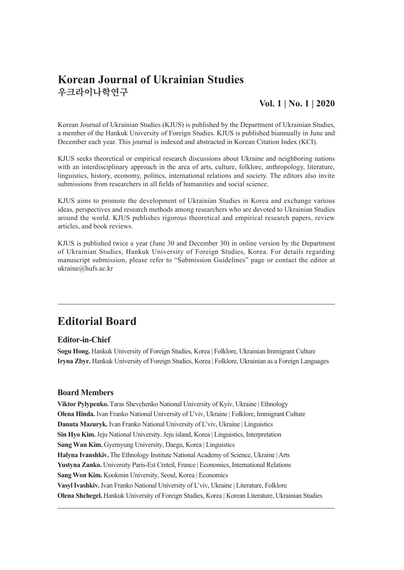## **Korean Journal of Ukrainian Studies** 우크라이나학연구

## **Vol. 1 | No. 1 | 2020**

Korean Journal of Ukrainian Studies (KJUS) is published by the Department of Ukrainian Studies, a member of the Hankuk University of Foreign Studies. KJUS is published biannually in June and December each year. This journal is indexed and abstracted in Korean Citation Index (KCI).

KJUS seeks theoretical or empirical research discussions about Ukraine and neighboring nations with an interdisciplinary approach in the area of arts, culture, folklore, anthropology, literature, linguistics, history, economy, politics, international relations and society. The editors also invite submissions from researchers in all fields of humanities and social science.

KJUS aims to promote the development of Ukrainian Studies in Korea and exchange various ideas, perspectives and research methods among researchers who are devoted to Ukrainian Studies around the world. KJUS publishes rigorous theoretical and empirical research papers, review articles, and book reviews.

KJUS is published twice a year (June 30 and December 30) in online version by the Department of Ukrainian Studies, Hankuk University of Foreign Studies, Korea. For details regarding manuscript submission, please refer to "Submission Guidelines" page or contact the editor at ukraine@hufs.ac.kr

# **Editorial Board**

#### **Editor-in-Chief**

**Sogu Hong.** Hankuk University of Foreign Studies, Korea | Folklore, Ukrainian Immigrant Culture **Iryna Zbyr.** Hankuk University of Foreign Studies, Korea | Folklore, Ukrainian as a Foreign Languages

#### **Board Members**

**Viktor Pylypenko.** Taras Shevchenko National University of Kyiv, Ukraine | Ethnology **Olena Hinda.** Ivan Franko National University of L'viv, Ukraine | Folklore, Immigrant Culture **Danuta Mazuryk.** Ivan Franko National University of L'viv, Ukraine | Linguistics **Sin Hyo Kim.**Jeju National University. Jeju island, Korea | Linguistics, Interpretation **Sung Wan Kim.** Gyemyung University, Daegu, Korea | Linguistics Halyna Ivanshkiv. The Ethnology Institute National Academy of Science, Ukraine | Arts **Yustyna Zanko.** University Paris-Est Creteil, France | Economics, International Relations **Sang Won Kim.** Kookmin University, Seoul, Korea | Economics **Vasyl Ivashkiv.** Ivan Franko National University of L'viv, Ukraine | Literature, Folklore **Olena Shchegel.** Hankuk University of Foreign Studies, Korea | Korean Literature, Ukrainian Studies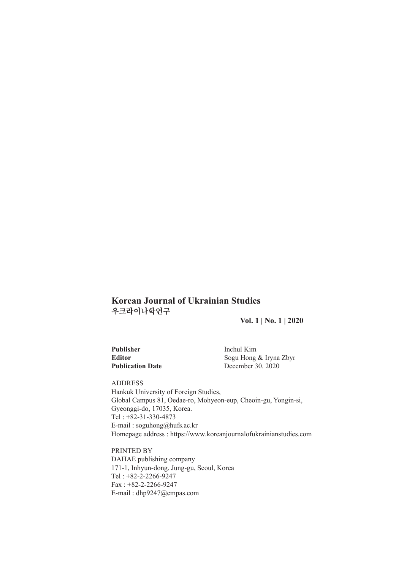## **Korean Journal of Ukrainian Studies** 우크라이나학연구

**Vol. 1 | No. 1 | 2020**

**Editor** Editor<br> **Editor**  $2020$ 

| <b>Publisher</b>        | Inchul Kim        |
|-------------------------|-------------------|
| <b>Editor</b>           | Sogu Hong & Iryna |
| <b>Publication Date</b> | December 30, 2020 |

ADDRESS Hankuk University of Foreign Studies, Global Campus 81, Oedae-ro, Mohyeon-eup, Cheoin-gu, Yongin-si, Gyeonggi-do, 17035, Korea. Tel : +82-31-330-4873 E-mail : soguhong@hufs.ac.kr Homepage address : https://www.koreanjournalofukrainianstudies.com

PRINTED BY DAHAE publishing company 171-1, Inhyun-dong. Jung-gu, Seoul, Korea Tel : +82-2-2266-9247 Fax : +82-2-2266-9247 E-mail : dhp9247@empas.com